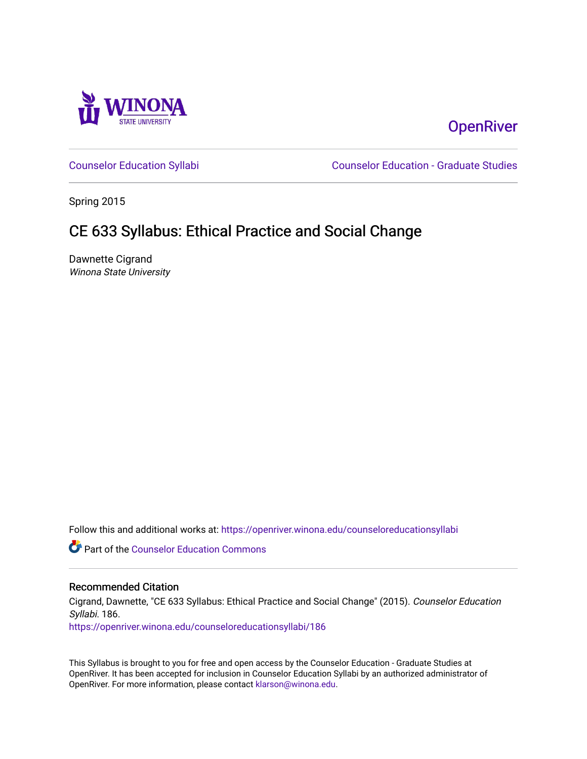

# **OpenRiver**

[Counselor Education Syllabi](https://openriver.winona.edu/counseloreducationsyllabi) [Counselor Education - Graduate Studies](https://openriver.winona.edu/counseloreducation) 

Spring 2015

# CE 633 Syllabus: Ethical Practice and Social Change

Dawnette Cigrand Winona State University

Follow this and additional works at: [https://openriver.winona.edu/counseloreducationsyllabi](https://openriver.winona.edu/counseloreducationsyllabi?utm_source=openriver.winona.edu%2Fcounseloreducationsyllabi%2F186&utm_medium=PDF&utm_campaign=PDFCoverPages)

Part of the [Counselor Education Commons](http://network.bepress.com/hgg/discipline/1278?utm_source=openriver.winona.edu%2Fcounseloreducationsyllabi%2F186&utm_medium=PDF&utm_campaign=PDFCoverPages) 

#### Recommended Citation

Cigrand, Dawnette, "CE 633 Syllabus: Ethical Practice and Social Change" (2015). Counselor Education Syllabi. 186.

[https://openriver.winona.edu/counseloreducationsyllabi/186](https://openriver.winona.edu/counseloreducationsyllabi/186?utm_source=openriver.winona.edu%2Fcounseloreducationsyllabi%2F186&utm_medium=PDF&utm_campaign=PDFCoverPages)

This Syllabus is brought to you for free and open access by the Counselor Education - Graduate Studies at OpenRiver. It has been accepted for inclusion in Counselor Education Syllabi by an authorized administrator of OpenRiver. For more information, please contact [klarson@winona.edu](mailto:klarson@winona.edu).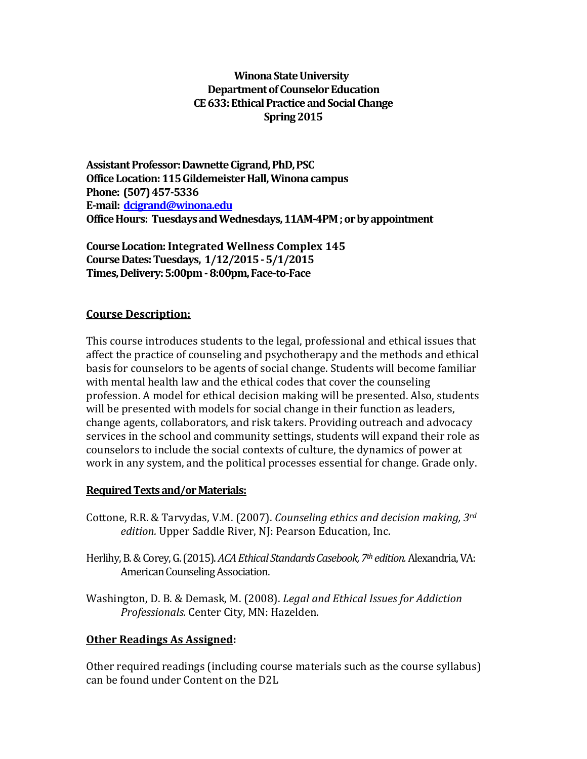## **Winona State University Department of Counselor Education CE633: Ethical Practice and Social Change Spring 2015**

**Assistant Professor: Dawnette Cigrand, PhD, PSC Office Location:115 Gildemeister Hall, Winona campus Phone: (507) 457-5336 E-mail: [dcigrand@winona.edu](mailto:dcigrand@winona.edu) Office Hours: Tuesdays and Wednesdays, 11AM-4PM ; or by appointment**

**Course Location: Integrated Wellness Complex 145 Course Dates: Tuesdays, 1/12/2015 -5/1/2015 Times, Delivery: 5:00pm -8:00pm, Face-to-Face**

## **Course Description:**

This course introduces students to the legal, professional and ethical issues that affect the practice of counseling and psychotherapy and the methods and ethical basis for counselors to be agents of social change. Students will become familiar with mental health law and the ethical codes that cover the counseling profession. A model for ethical decision making will be presented. Also, students will be presented with models for social change in their function as leaders, change agents, collaborators, and risk takers. Providing outreach and advocacy services in the school and community settings, students will expand their role as counselors to include the social contexts of culture, the dynamics of power at work in any system, and the political processes essential for change. Grade only.

## **Required Texts and/or Materials:**

- Cottone, R.R. & Tarvydas, V.M. (2007). *Counseling ethics and decision making, 3rd edition.* Upper Saddle River, NJ: Pearson Education, Inc.
- Herlihy, B. & Corey, G. (2015). *ACA Ethical Standards Casebook, 7th edition.* Alexandria, VA: American Counseling Association.
- Washington, D. B. & Demask, M. (2008). *Legal and Ethical Issues for Addiction Professionals.* Center City, MN: Hazelden.

## **Other Readings As Assigned:**

Other required readings (including course materials such as the course syllabus) can be found under Content on the D2L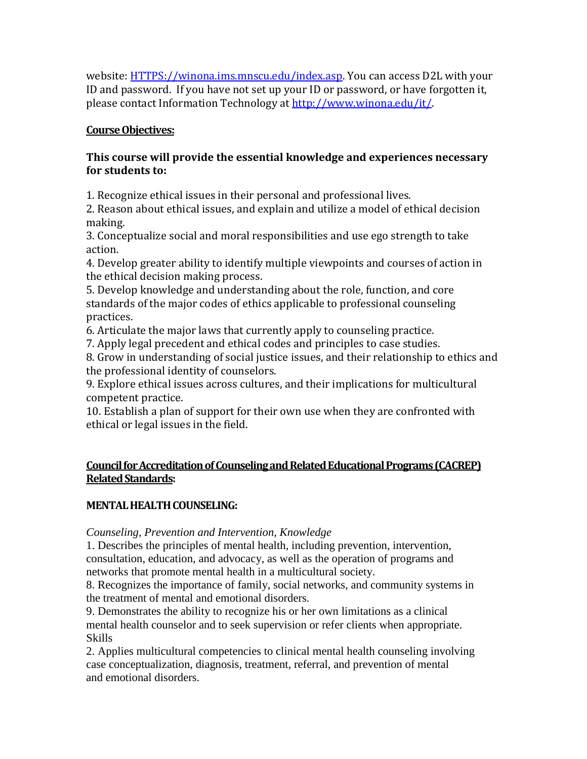website: [HTTPS://winona.ims.mnscu.edu/index.asp.](https://winona.ims.mnscu.edu/index.asp) You can access D2L with your ID and password. If you have not set up your ID or password, or have forgotten it, please contact Information Technology at [http://www.winona.edu/it/.](http://www.winona.edu/it/)

# **Course Objectives:**

# **This course will provide the essential knowledge and experiences necessary for students to:**

1. Recognize ethical issues in their personal and professional lives.

2. Reason about ethical issues, and explain and utilize a model of ethical decision making.

3. Conceptualize social and moral responsibilities and use ego strength to take action.

4. Develop greater ability to identify multiple viewpoints and courses of action in the ethical decision making process.

5. Develop knowledge and understanding about the role, function, and core standards of the major codes of ethics applicable to professional counseling practices.

6. Articulate the major laws that currently apply to counseling practice.

7. Apply legal precedent and ethical codes and principles to case studies.

8. Grow in understanding of social justice issues, and their relationship to ethics and the professional identity of counselors.

9. Explore ethical issues across cultures, and their implications for multicultural competent practice.

10. Establish a plan of support for their own use when they are confronted with ethical or legal issues in the field.

# **Council for Accreditation of Counseling and Related Educational Programs (CACREP) Related Standards:**

# **MENTAL HEALTH COUNSELING:**

*Counseling, Prevention and Intervention, Knowledge*

1. Describes the principles of mental health, including prevention, intervention, consultation, education, and advocacy, as well as the operation of programs and networks that promote mental health in a multicultural society.

8. Recognizes the importance of family, social networks, and community systems in the treatment of mental and emotional disorders.

9. Demonstrates the ability to recognize his or her own limitations as a clinical mental health counselor and to seek supervision or refer clients when appropriate. Skills

2. Applies multicultural competencies to clinical mental health counseling involving case conceptualization, diagnosis, treatment, referral, and prevention of mental and emotional disorders.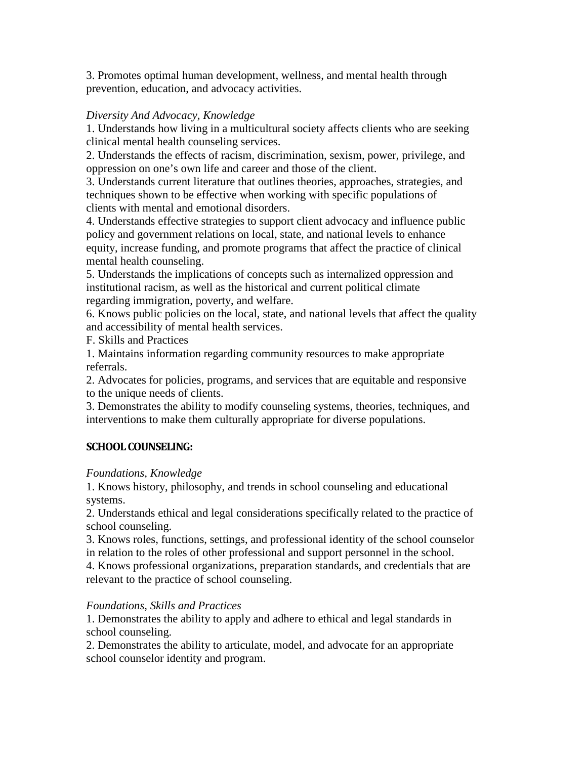3. Promotes optimal human development, wellness, and mental health through prevention, education, and advocacy activities.

## *Diversity And Advocacy, Knowledge*

1. Understands how living in a multicultural society affects clients who are seeking clinical mental health counseling services.

2. Understands the effects of racism, discrimination, sexism, power, privilege, and oppression on one's own life and career and those of the client.

3. Understands current literature that outlines theories, approaches, strategies, and techniques shown to be effective when working with specific populations of clients with mental and emotional disorders.

4. Understands effective strategies to support client advocacy and influence public policy and government relations on local, state, and national levels to enhance equity, increase funding, and promote programs that affect the practice of clinical mental health counseling.

5. Understands the implications of concepts such as internalized oppression and institutional racism, as well as the historical and current political climate regarding immigration, poverty, and welfare.

6. Knows public policies on the local, state, and national levels that affect the quality and accessibility of mental health services.

F. Skills and Practices

1. Maintains information regarding community resources to make appropriate referrals.

2. Advocates for policies, programs, and services that are equitable and responsive to the unique needs of clients.

3. Demonstrates the ability to modify counseling systems, theories, techniques, and interventions to make them culturally appropriate for diverse populations.

# **SCHOOL COUNSELING:**

# *Foundations, Knowledge*

1. Knows history, philosophy, and trends in school counseling and educational systems.

2. Understands ethical and legal considerations specifically related to the practice of school counseling.

3. Knows roles, functions, settings, and professional identity of the school counselor in relation to the roles of other professional and support personnel in the school.

4. Knows professional organizations, preparation standards, and credentials that are relevant to the practice of school counseling.

# *Foundations, Skills and Practices*

1. Demonstrates the ability to apply and adhere to ethical and legal standards in school counseling.

2. Demonstrates the ability to articulate, model, and advocate for an appropriate school counselor identity and program.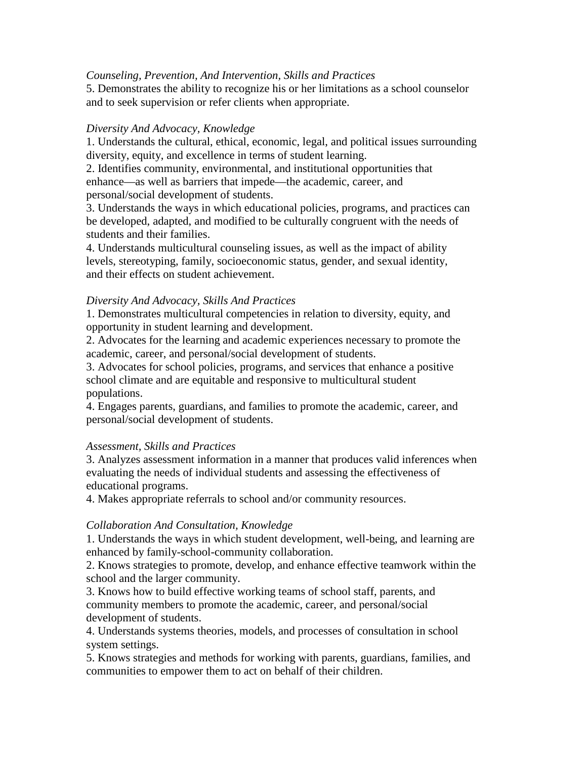#### *Counseling, Prevention, And Intervention, Skills and Practices*

5. Demonstrates the ability to recognize his or her limitations as a school counselor and to seek supervision or refer clients when appropriate.

#### *Diversity And Advocacy, Knowledge*

1. Understands the cultural, ethical, economic, legal, and political issues surrounding diversity, equity, and excellence in terms of student learning.

2. Identifies community, environmental, and institutional opportunities that enhance—as well as barriers that impede—the academic, career, and personal/social development of students.

3. Understands the ways in which educational policies, programs, and practices can be developed, adapted, and modified to be culturally congruent with the needs of students and their families.

4. Understands multicultural counseling issues, as well as the impact of ability levels, stereotyping, family, socioeconomic status, gender, and sexual identity, and their effects on student achievement.

#### *Diversity And Advocacy, Skills And Practices*

1. Demonstrates multicultural competencies in relation to diversity, equity, and opportunity in student learning and development.

2. Advocates for the learning and academic experiences necessary to promote the academic, career, and personal/social development of students.

3. Advocates for school policies, programs, and services that enhance a positive school climate and are equitable and responsive to multicultural student populations.

4. Engages parents, guardians, and families to promote the academic, career, and personal/social development of students.

## *Assessment, Skills and Practices*

3. Analyzes assessment information in a manner that produces valid inferences when evaluating the needs of individual students and assessing the effectiveness of educational programs.

4. Makes appropriate referrals to school and/or community resources.

## *Collaboration And Consultation, Knowledge*

1. Understands the ways in which student development, well-being, and learning are enhanced by family-school-community collaboration.

2. Knows strategies to promote, develop, and enhance effective teamwork within the school and the larger community.

3. Knows how to build effective working teams of school staff, parents, and community members to promote the academic, career, and personal/social development of students.

4. Understands systems theories, models, and processes of consultation in school system settings.

5. Knows strategies and methods for working with parents, guardians, families, and communities to empower them to act on behalf of their children.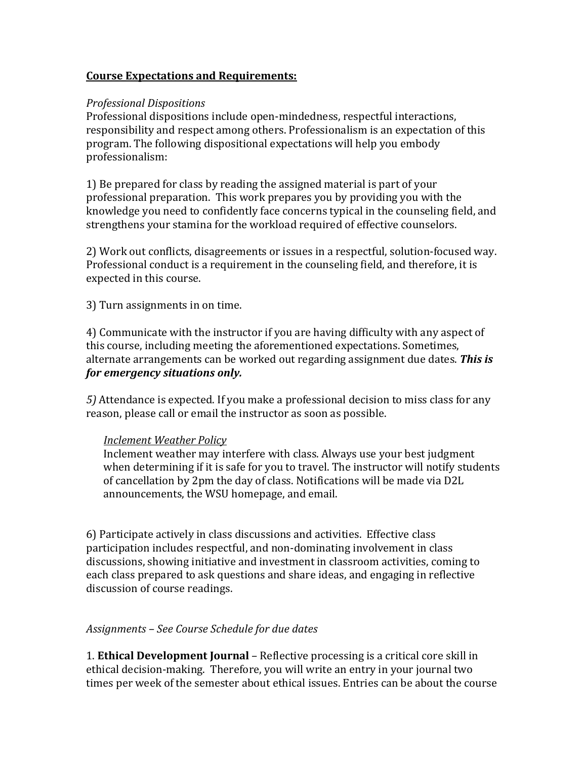## **Course Expectations and Requirements:**

#### *Professional Dispositions*

Professional dispositions include open-mindedness, respectful interactions, responsibility and respect among others. Professionalism is an expectation of this program. The following dispositional expectations will help you embody professionalism:

1) Be prepared for class by reading the assigned material is part of your professional preparation. This work prepares you by providing you with the knowledge you need to confidently face concerns typical in the counseling field, and strengthens your stamina for the workload required of effective counselors.

2) Work out conflicts, disagreements or issues in a respectful, solution-focused way. Professional conduct is a requirement in the counseling field, and therefore, it is expected in this course.

3) Turn assignments in on time.

4) Communicate with the instructor if you are having difficulty with any aspect of this course, including meeting the aforementioned expectations. Sometimes, alternate arrangements can be worked out regarding assignment due dates. *This is for emergency situations only.* 

*5)* Attendance is expected. If you make a professional decision to miss class for any reason, please call or email the instructor as soon as possible.

#### *Inclement Weather Policy*

Inclement weather may interfere with class. Always use your best judgment when determining if it is safe for you to travel. The instructor will notify students of cancellation by 2pm the day of class. Notifications will be made via D2L announcements, the WSU homepage, and email.

6) Participate actively in class discussions and activities. Effective class participation includes respectful, and non-dominating involvement in class discussions, showing initiative and investment in classroom activities, coming to each class prepared to ask questions and share ideas, and engaging in reflective discussion of course readings.

## *Assignments – See Course Schedule for due dates*

1. **Ethical Development Journal** – Reflective processing is a critical core skill in ethical decision-making. Therefore, you will write an entry in your journal two times per week of the semester about ethical issues. Entries can be about the course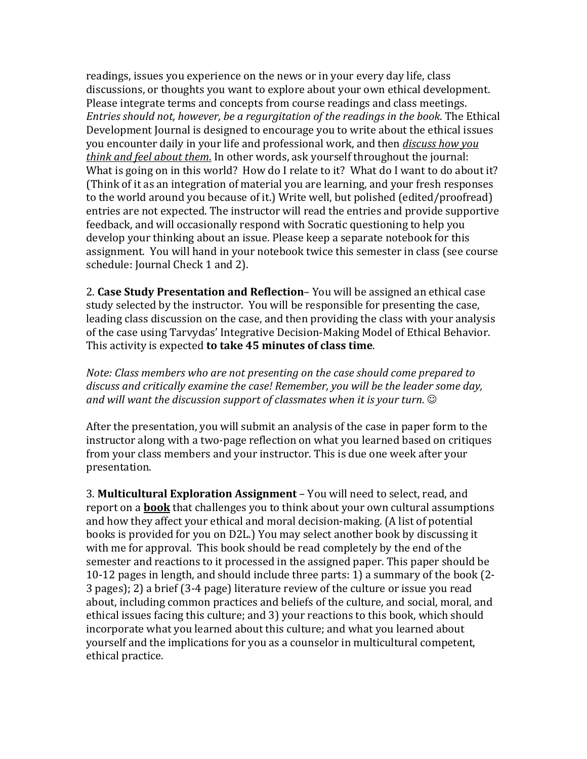readings, issues you experience on the news or in your every day life, class discussions, or thoughts you want to explore about your own ethical development. Please integrate terms and concepts from course readings and class meetings. *Entries should not, however, be a regurgitation of the readings in the book.* The Ethical Development Journal is designed to encourage you to write about the ethical issues you encounter daily in your life and professional work, and then *discuss how you think and feel about them*. In other words, ask yourself throughout the journal: What is going on in this world? How do I relate to it? What do I want to do about it? (Think of it as an integration of material you are learning, and your fresh responses to the world around you because of it.) Write well, but polished (edited/proofread) entries are not expected. The instructor will read the entries and provide supportive feedback, and will occasionally respond with Socratic questioning to help you develop your thinking about an issue. Please keep a separate notebook for this assignment. You will hand in your notebook twice this semester in class (see course schedule: Journal Check 1 and 2).

2. **Case Study Presentation and Reflection**– You will be assigned an ethical case study selected by the instructor. You will be responsible for presenting the case, leading class discussion on the case, and then providing the class with your analysis of the case using Tarvydas' Integrative Decision-Making Model of Ethical Behavior. This activity is expected **to take 45 minutes of class time**.

*Note: Class members who are not presenting on the case should come prepared to discuss and critically examine the case! Remember, you will be the leader some day, and will want the discussion support of classmates when it is your turn.*

After the presentation, you will submit an analysis of the case in paper form to the instructor along with a two-page reflection on what you learned based on critiques from your class members and your instructor. This is due one week after your presentation.

3. **Multicultural Exploration Assignment** – You will need to select, read, and report on a **book** that challenges you to think about your own cultural assumptions and how they affect your ethical and moral decision-making. (A list of potential books is provided for you on D2L.) You may select another book by discussing it with me for approval. This book should be read completely by the end of the semester and reactions to it processed in the assigned paper. This paper should be 10-12 pages in length, and should include three parts: 1) a summary of the book (2- 3 pages); 2) a brief (3-4 page) literature review of the culture or issue you read about, including common practices and beliefs of the culture, and social, moral, and ethical issues facing this culture; and 3) your reactions to this book, which should incorporate what you learned about this culture; and what you learned about yourself and the implications for you as a counselor in multicultural competent, ethical practice.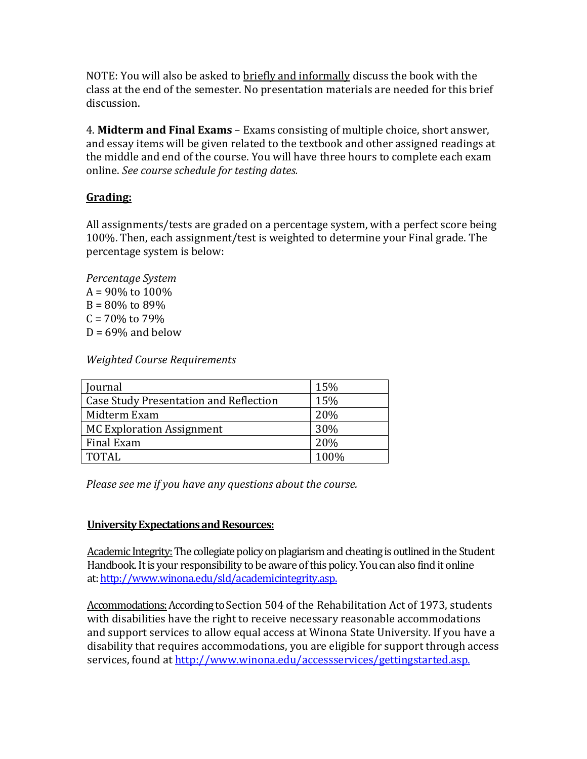NOTE: You will also be asked to briefly and informally discuss the book with the class at the end of the semester. No presentation materials are needed for this brief discussion.

4. **Midterm and Final Exams** – Exams consisting of multiple choice, short answer, and essay items will be given related to the textbook and other assigned readings at the middle and end of the course. You will have three hours to complete each exam online. *See course schedule for testing dates.* 

# **Grading:**

All assignments/tests are graded on a percentage system, with a perfect score being 100%. Then, each assignment/test is weighted to determine your Final grade. The percentage system is below:

*Percentage System*  $A = 90\%$  to  $100\%$  $B = 80\%$  to 89%  $C = 70\%$  to 79%  $D = 69\%$  and below

*Weighted Course Requirements*

| Journal                                       | 15%  |
|-----------------------------------------------|------|
| <b>Case Study Presentation and Reflection</b> | 15%  |
| Midterm Exam                                  | 20%  |
| <b>MC Exploration Assignment</b>              | 30%  |
| Final Exam                                    | 20%  |
| <b>TOTAL</b>                                  | 100% |

*Please see me if you have any questions about the course.*

# **University Expectations and Resources:**

Academic Integrity:The collegiate policy on plagiarism and cheating is outlined in the Student Handbook. It is your responsibility to be aware of this policy. You can also find it online at[: http://www.winona.edu/sld/academicintegrity.asp.](http://www.winona.edu/sld/academicintegrity.asp)

Accommodations: According to Section 504 of the Rehabilitation Act of 1973, students with disabilities have the right to receive necessary reasonable accommodations and support services to allow equal access at Winona State University. If you have a disability that requires accommodations, you are eligible for support through access services, found at [http://www.winona.edu/accessservices/gettingstarted.asp.](http://www.winona.edu/accessservices/gettingstarted.asp)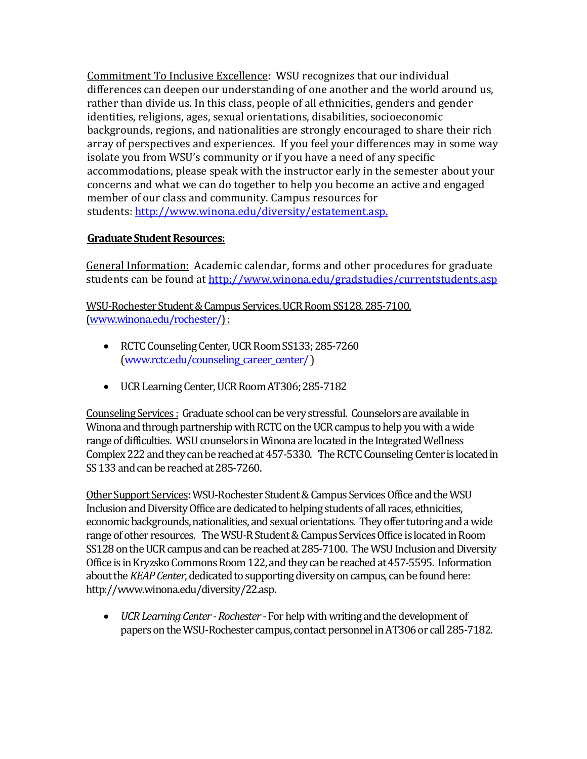Commitment To Inclusive Excellence: WSU recognizes that our individual differences can deepen our understanding of one another and the world around us, rather than divide us. In this class, people of all ethnicities, genders and gender identities, religions, ages, sexual orientations, disabilities, socioeconomic backgrounds, regions, and nationalities are strongly encouraged to share their rich array of perspectives and experiences. If you feel your differences may in some way isolate you from WSU's community or if you have a need of any specific accommodations, please speak with the instructor early in the semester about your concerns and what we can do together to help you become an active and engaged member of our class and community. Campus resources for students: [http://www.winona.edu/diversity/estatement.asp.](http://www.winona.edu/diversity/estatement.asp)

# **Graduate Student Resources:**

General Information: Academic calendar, forms and other procedures for graduate students can be found a[t http://www.winona.edu/gradstudies/currentstudents.asp](http://www.winona.edu/gradstudies/currentstudents.asp)

WSU-Rochester Student & Campus Services, UCR Room SS128, 285-7100, [\(www.winona.edu/rochester/\)](http://www.winona.edu/rochester/) :

- RCTC Counseling Center, UCR Room SS133; 285-7260 [\(www.rctc.edu/counseling\\_career\\_center/](http://www.rctc.edu/counseling_career_center/) )
- UCR Learning Center, UCR Room AT306; 285-7182

Counseling Services : Graduate school can be very stressful. Counselors are available in Winona and through partnership with RCTC on the UCR campus to help you with a wide range of difficulties. WSU counselors in Winona are located in the Integrated Wellness Complex 222 and they can be reached at 457-5330. The RCTC Counseling Center is located in SS 133 and can be reached at 285-7260.

Other Support Services: WSU-Rochester Student & Campus Services Office and the WSU Inclusion and Diversity Office are dedicated to helping students of all races, ethnicities, economic backgrounds, nationalities, and sexual orientations. They offer tutoring and a wide range of other resources. The WSU-R Student & Campus Services Office is located in Room SS128 on the UCR campus and can be reached at 285-7100. The WSU Inclusion and Diversity Office is in Kryzsko Commons Room 122, and they can be reached at 457-5595. Information about the *KEAP Center*, dedicated to supporting diversity on campus, can be found here: http://www.winona.edu/diversity/22.asp.

• *UCR Learning Center -Rochester* -For help with writing and the development of papers on the WSU-Rochester campus, contact personnelin AT306 or call 285-7182.